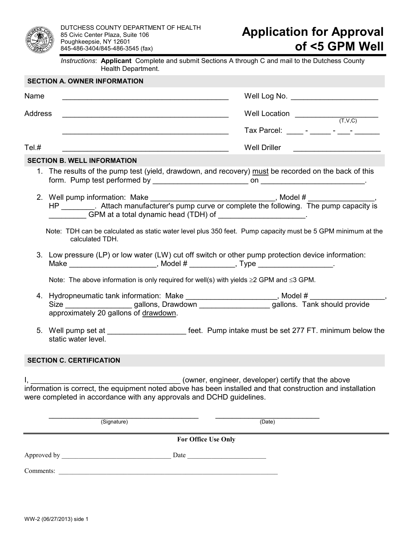

*Instructions*: **Applicant** Complete and submit Sections A through C and mail to the Dutchess County Health Department.

|                                                                                                                                                                                                                                            |                                                                                                     | <b>SECTION A. OWNER INFORMATION</b>                                                                                                                                                     |                                                       |  |  |  |  |
|--------------------------------------------------------------------------------------------------------------------------------------------------------------------------------------------------------------------------------------------|-----------------------------------------------------------------------------------------------------|-----------------------------------------------------------------------------------------------------------------------------------------------------------------------------------------|-------------------------------------------------------|--|--|--|--|
| Name                                                                                                                                                                                                                                       |                                                                                                     | <u> 1989 - Johann John Stone, markin film yn y brening yn y brening yn y brening yn y brening y brening yn y bre</u>                                                                    | Well Log No. ________________________                 |  |  |  |  |
| <b>Address</b>                                                                                                                                                                                                                             |                                                                                                     |                                                                                                                                                                                         | Well Location $\underbrace{\qquad \qquad }_{(T,V,C)}$ |  |  |  |  |
|                                                                                                                                                                                                                                            |                                                                                                     |                                                                                                                                                                                         | Tax Parcel: ______ - _____ - _____ - ______           |  |  |  |  |
| Tel.#                                                                                                                                                                                                                                      |                                                                                                     |                                                                                                                                                                                         | <b>Well Driller</b>                                   |  |  |  |  |
| <b>SECTION B. WELL INFORMATION</b>                                                                                                                                                                                                         |                                                                                                     |                                                                                                                                                                                         |                                                       |  |  |  |  |
|                                                                                                                                                                                                                                            |                                                                                                     | 1. The results of the pump test (yield, drawdown, and recovery) must be recorded on the back of this                                                                                    |                                                       |  |  |  |  |
|                                                                                                                                                                                                                                            |                                                                                                     | GPM at a total dynamic head (TDH) of ______________________.                                                                                                                            |                                                       |  |  |  |  |
|                                                                                                                                                                                                                                            |                                                                                                     | Note: TDH can be calculated as static water level plus 350 feet. Pump capacity must be 5 GPM minimum at the<br>calculated TDH.                                                          |                                                       |  |  |  |  |
|                                                                                                                                                                                                                                            |                                                                                                     | 3. Low pressure (LP) or low water (LW) cut off switch or other pump protection device information:<br>Make ___________________________, Model # _____________, Type __________________. |                                                       |  |  |  |  |
|                                                                                                                                                                                                                                            | Note: The above information is only required for well(s) with yields $\geq$ 2 GPM and $\leq$ 3 GPM. |                                                                                                                                                                                         |                                                       |  |  |  |  |
|                                                                                                                                                                                                                                            |                                                                                                     | 4. Hydropneumatic tank information: Make _______________________, Model # ________________,                                                                                             |                                                       |  |  |  |  |
|                                                                                                                                                                                                                                            |                                                                                                     | Size _____________________gallons, Drawdown ____________________gallons. Tank should provide<br>approximately 20 gallons of drawdown.                                                   |                                                       |  |  |  |  |
|                                                                                                                                                                                                                                            |                                                                                                     | static water level.                                                                                                                                                                     |                                                       |  |  |  |  |
| <b>SECTION C. CERTIFICATION</b>                                                                                                                                                                                                            |                                                                                                     |                                                                                                                                                                                         |                                                       |  |  |  |  |
| (owner, engineer, developer) certify that the above<br>information is correct, the equipment noted above has been installed and that construction and installation<br>were completed in accordance with any approvals and DCHD guidelines. |                                                                                                     |                                                                                                                                                                                         |                                                       |  |  |  |  |
|                                                                                                                                                                                                                                            |                                                                                                     | (Signature)                                                                                                                                                                             | (Date)                                                |  |  |  |  |
| For Office Use Only                                                                                                                                                                                                                        |                                                                                                     |                                                                                                                                                                                         |                                                       |  |  |  |  |
|                                                                                                                                                                                                                                            |                                                                                                     |                                                                                                                                                                                         |                                                       |  |  |  |  |
| Comments:                                                                                                                                                                                                                                  |                                                                                                     |                                                                                                                                                                                         |                                                       |  |  |  |  |